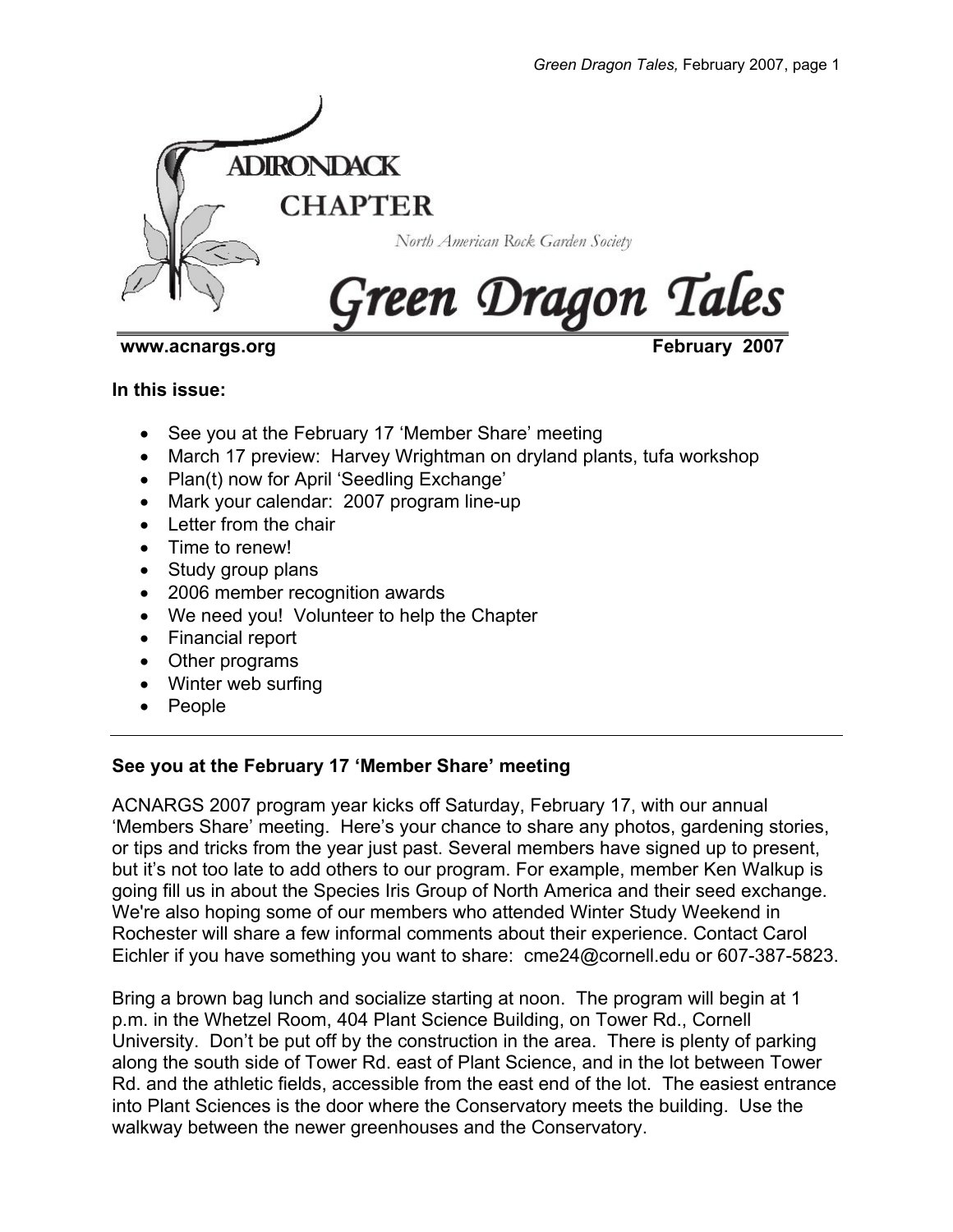

## www.acnargs.org **February 2007**

### **In this issue:**

- See you at the February 17 'Member Share' meeting
- March 17 preview: Harvey Wrightman on dryland plants, tufa workshop
- Plan(t) now for April 'Seedling Exchange'
- Mark your calendar: 2007 program line-up
- Letter from the chair
- Time to renew!
- Study group plans
- 2006 member recognition awards
- We need you! Volunteer to help the Chapter
- Financial report
- Other programs
- Winter web surfing
- People

# **See you at the February 17 'Member Share' meeting**

ACNARGS 2007 program year kicks off Saturday, February 17, with our annual 'Members Share' meeting. Here's your chance to share any photos, gardening stories, or tips and tricks from the year just past. Several members have signed up to present, but it's not too late to add others to our program. For example, member Ken Walkup is going fill us in about the Species Iris Group of North America and their seed exchange. We're also hoping some of our members who attended Winter Study Weekend in Rochester will share a few informal comments about their experience. Contact Carol Eichler if you have something you want to share: cme24@cornell.edu or 607-387-5823.

Bring a brown bag lunch and socialize starting at noon. The program will begin at 1 p.m. in the Whetzel Room, 404 Plant Science Building, on Tower Rd., Cornell University. Don't be put off by the construction in the area. There is plenty of parking along the south side of Tower Rd. east of Plant Science, and in the lot between Tower Rd. and the athletic fields, accessible from the east end of the lot. The easiest entrance into Plant Sciences is the door where the Conservatory meets the building. Use the walkway between the newer greenhouses and the Conservatory.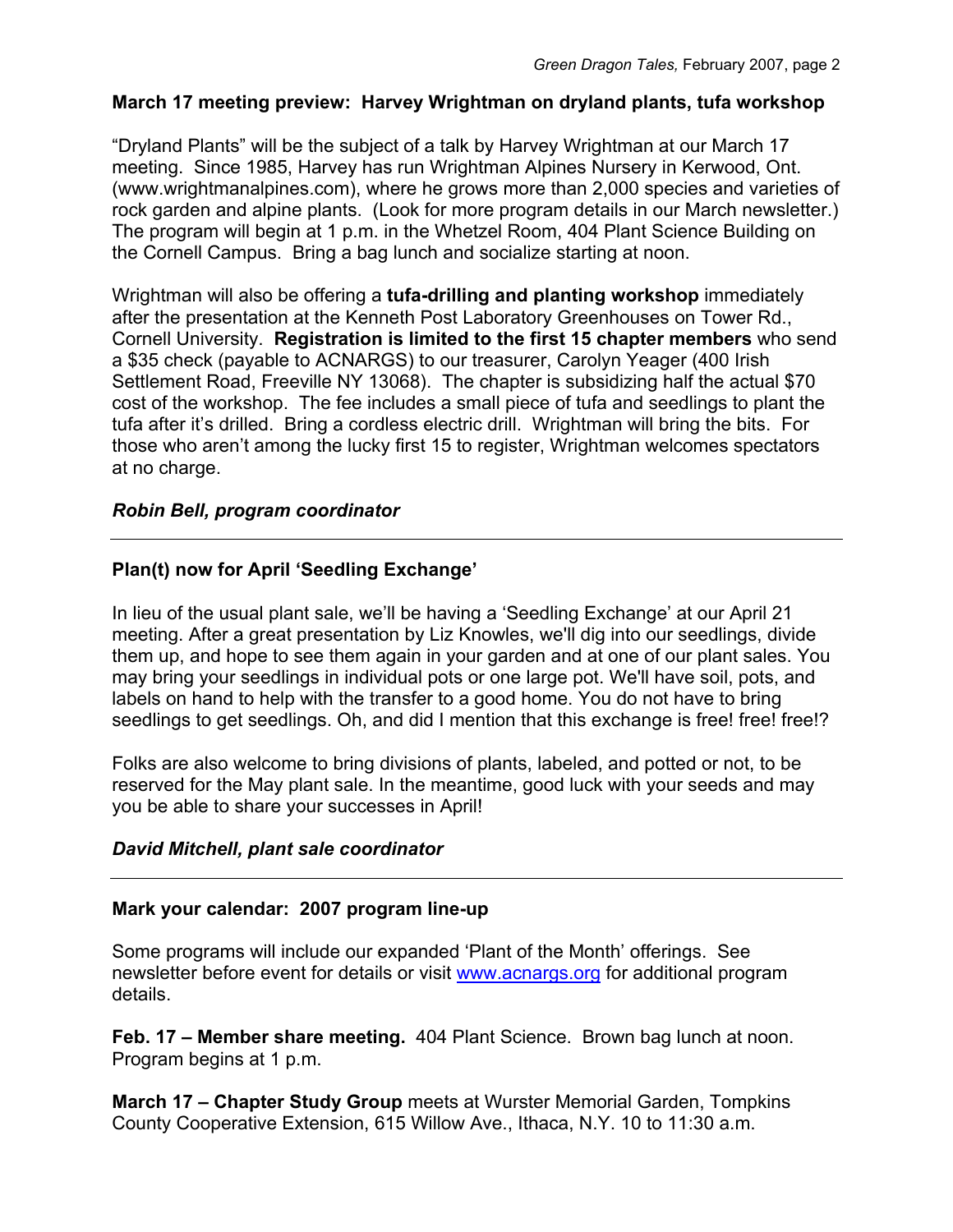## **March 17 meeting preview: Harvey Wrightman on dryland plants, tufa workshop**

"Dryland Plants" will be the subject of a talk by Harvey Wrightman at our March 17 meeting. Since 1985, Harvey has run Wrightman Alpines Nursery in Kerwood, Ont. (www.wrightmanalpines.com), where he grows more than 2,000 species and varieties of rock garden and alpine plants. (Look for more program details in our March newsletter.) The program will begin at 1 p.m. in the Whetzel Room, 404 Plant Science Building on the Cornell Campus. Bring a bag lunch and socialize starting at noon.

Wrightman will also be offering a **tufa-drilling and planting workshop** immediately after the presentation at the Kenneth Post Laboratory Greenhouses on Tower Rd., Cornell University. **Registration is limited to the first 15 chapter members** who send a \$35 check (payable to ACNARGS) to our treasurer, Carolyn Yeager (400 Irish Settlement Road, Freeville NY 13068). The chapter is subsidizing half the actual \$70 cost of the workshop. The fee includes a small piece of tufa and seedlings to plant the tufa after it's drilled. Bring a cordless electric drill. Wrightman will bring the bits. For those who aren't among the lucky first 15 to register, Wrightman welcomes spectators at no charge.

# *Robin Bell, program coordinator*

# **Plan(t) now for April 'Seedling Exchange'**

In lieu of the usual plant sale, we'll be having a 'Seedling Exchange' at our April 21 meeting. After a great presentation by Liz Knowles, we'll dig into our seedlings, divide them up, and hope to see them again in your garden and at one of our plant sales. You may bring your seedlings in individual pots or one large pot. We'll have soil, pots, and labels on hand to help with the transfer to a good home. You do not have to bring seedlings to get seedlings. Oh, and did I mention that this exchange is free! free! free!?

Folks are also welcome to bring divisions of plants, labeled, and potted or not, to be reserved for the May plant sale. In the meantime, good luck with your seeds and may you be able to share your successes in April!

## *David Mitchell, plant sale coordinator*

## **Mark your calendar: 2007 program line-up**

Some programs will include our expanded 'Plant of the Month' offerings. See newsletter before event for details or visit www.acnargs.org for additional program details.

**Feb. 17 – Member share meeting.** 404 Plant Science. Brown bag lunch at noon. Program begins at 1 p.m.

**March 17 – Chapter Study Group** meets at Wurster Memorial Garden, Tompkins County Cooperative Extension, 615 Willow Ave., Ithaca, N.Y. 10 to 11:30 a.m.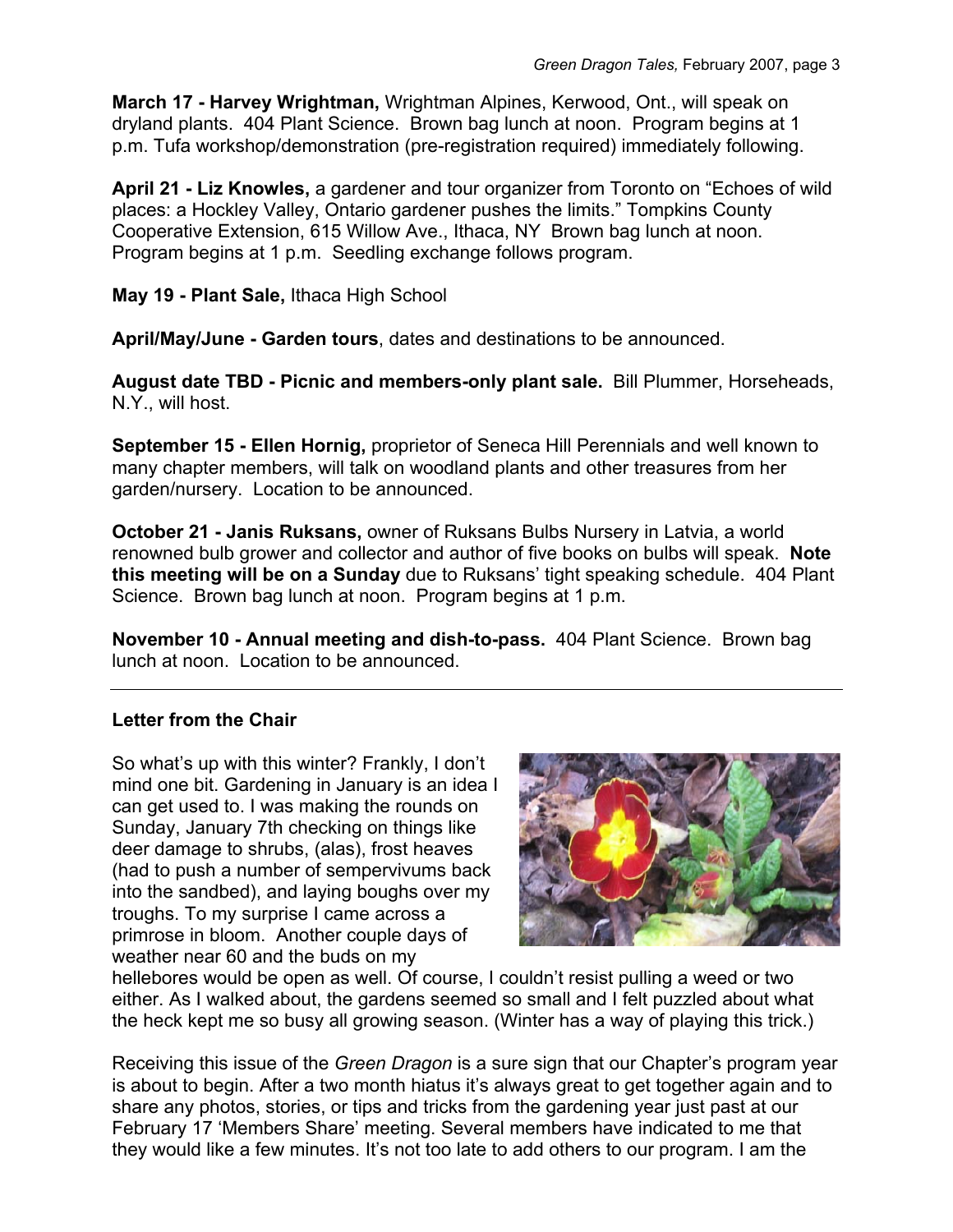**March 17 - Harvey Wrightman,** Wrightman Alpines, Kerwood, Ont., will speak on dryland plants. 404 Plant Science. Brown bag lunch at noon. Program begins at 1 p.m. Tufa workshop/demonstration (pre-registration required) immediately following.

**April 21 - Liz Knowles,** a gardener and tour organizer from Toronto on "Echoes of wild places: a Hockley Valley, Ontario gardener pushes the limits." Tompkins County Cooperative Extension, 615 Willow Ave., Ithaca, NY Brown bag lunch at noon. Program begins at 1 p.m. Seedling exchange follows program.

**May 19 - Plant Sale,** Ithaca High School

**April/May/June - Garden tours**, dates and destinations to be announced.

**August date TBD - Picnic and members-only plant sale.** Bill Plummer, Horseheads, N.Y., will host.

**September 15 - Ellen Hornig,** proprietor of Seneca Hill Perennials and well known to many chapter members, will talk on woodland plants and other treasures from her garden/nursery. Location to be announced.

**October 21 - Janis Ruksans,** owner of Ruksans Bulbs Nursery in Latvia, a world renowned bulb grower and collector and author of five books on bulbs will speak. **Note this meeting will be on a Sunday** due to Ruksans' tight speaking schedule. 404 Plant Science. Brown bag lunch at noon. Program begins at 1 p.m.

**November 10 - Annual meeting and dish-to-pass.** 404 Plant Science. Brown bag lunch at noon. Location to be announced.

# **Letter from the Chair**

So what's up with this winter? Frankly, I don't mind one bit. Gardening in January is an idea I can get used to. I was making the rounds on Sunday, January 7th checking on things like deer damage to shrubs, (alas), frost heaves (had to push a number of sempervivums back into the sandbed), and laying boughs over my troughs. To my surprise I came across a primrose in bloom. Another couple days of weather near 60 and the buds on my



hellebores would be open as well. Of course, I couldn't resist pulling a weed or two either. As I walked about, the gardens seemed so small and I felt puzzled about what the heck kept me so busy all growing season. (Winter has a way of playing this trick.)

Receiving this issue of the *Green Dragon* is a sure sign that our Chapter's program year is about to begin. After a two month hiatus it's always great to get together again and to share any photos, stories, or tips and tricks from the gardening year just past at our February 17 'Members Share' meeting. Several members have indicated to me that they would like a few minutes. It's not too late to add others to our program. I am the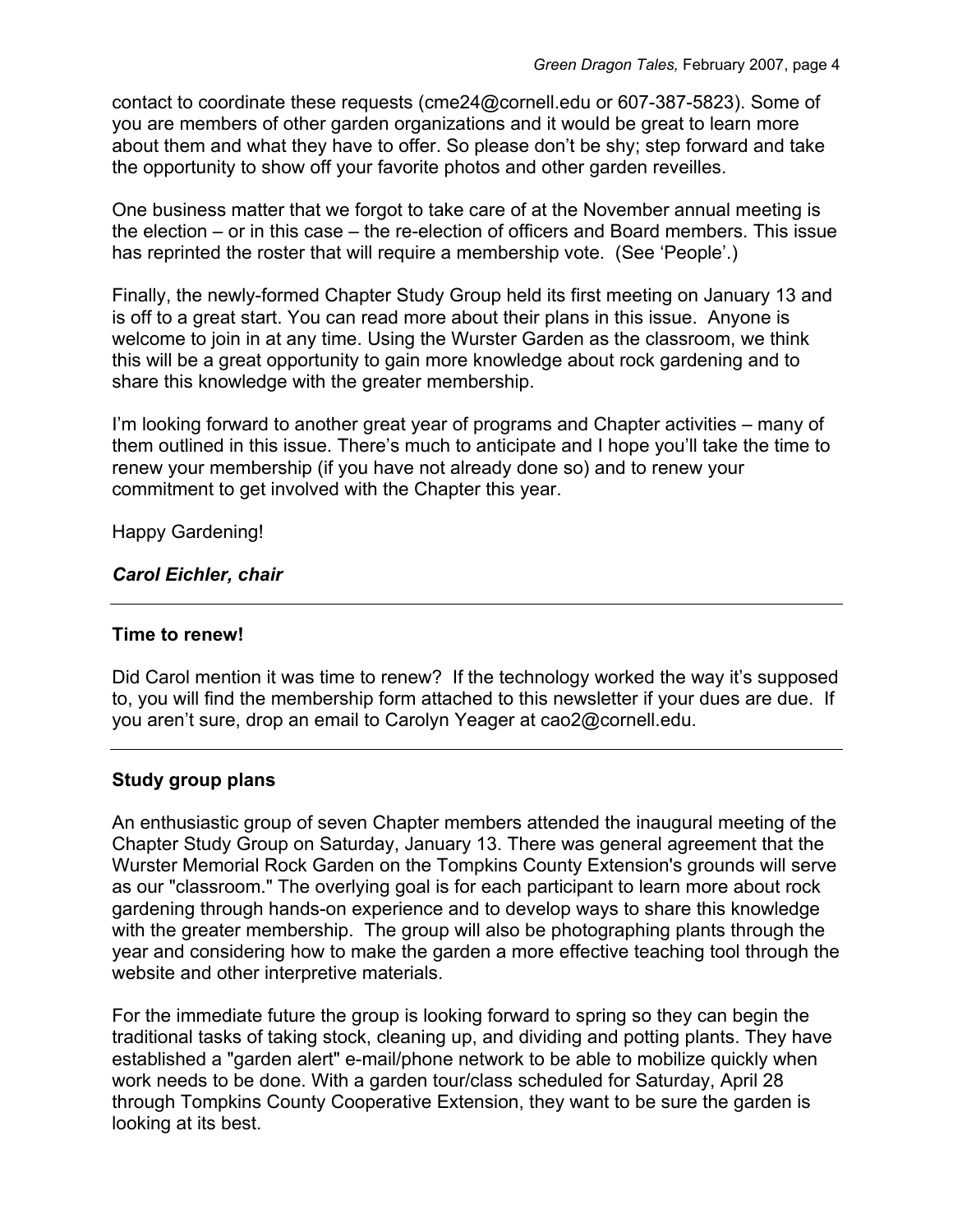contact to coordinate these requests (cme24@cornell.edu or 607-387-5823). Some of you are members of other garden organizations and it would be great to learn more about them and what they have to offer. So please don't be shy; step forward and take the opportunity to show off your favorite photos and other garden reveilles.

One business matter that we forgot to take care of at the November annual meeting is the election – or in this case – the re-election of officers and Board members. This issue has reprinted the roster that will require a membership vote. (See 'People'.)

Finally, the newly-formed Chapter Study Group held its first meeting on January 13 and is off to a great start. You can read more about their plans in this issue. Anyone is welcome to join in at any time. Using the Wurster Garden as the classroom, we think this will be a great opportunity to gain more knowledge about rock gardening and to share this knowledge with the greater membership.

I'm looking forward to another great year of programs and Chapter activities – many of them outlined in this issue. There's much to anticipate and I hope you'll take the time to renew your membership (if you have not already done so) and to renew your commitment to get involved with the Chapter this year.

Happy Gardening!

# *Carol Eichler, chair*

## **Time to renew!**

Did Carol mention it was time to renew? If the technology worked the way it's supposed to, you will find the membership form attached to this newsletter if your dues are due. If you aren't sure, drop an email to Carolyn Yeager at cao2@cornell.edu.

# **Study group plans**

An enthusiastic group of seven Chapter members attended the inaugural meeting of the Chapter Study Group on Saturday, January 13. There was general agreement that the Wurster Memorial Rock Garden on the Tompkins County Extension's grounds will serve as our "classroom." The overlying goal is for each participant to learn more about rock gardening through hands-on experience and to develop ways to share this knowledge with the greater membership. The group will also be photographing plants through the year and considering how to make the garden a more effective teaching tool through the website and other interpretive materials.

For the immediate future the group is looking forward to spring so they can begin the traditional tasks of taking stock, cleaning up, and dividing and potting plants. They have established a "garden alert" e-mail/phone network to be able to mobilize quickly when work needs to be done. With a garden tour/class scheduled for Saturday, April 28 through Tompkins County Cooperative Extension, they want to be sure the garden is looking at its best.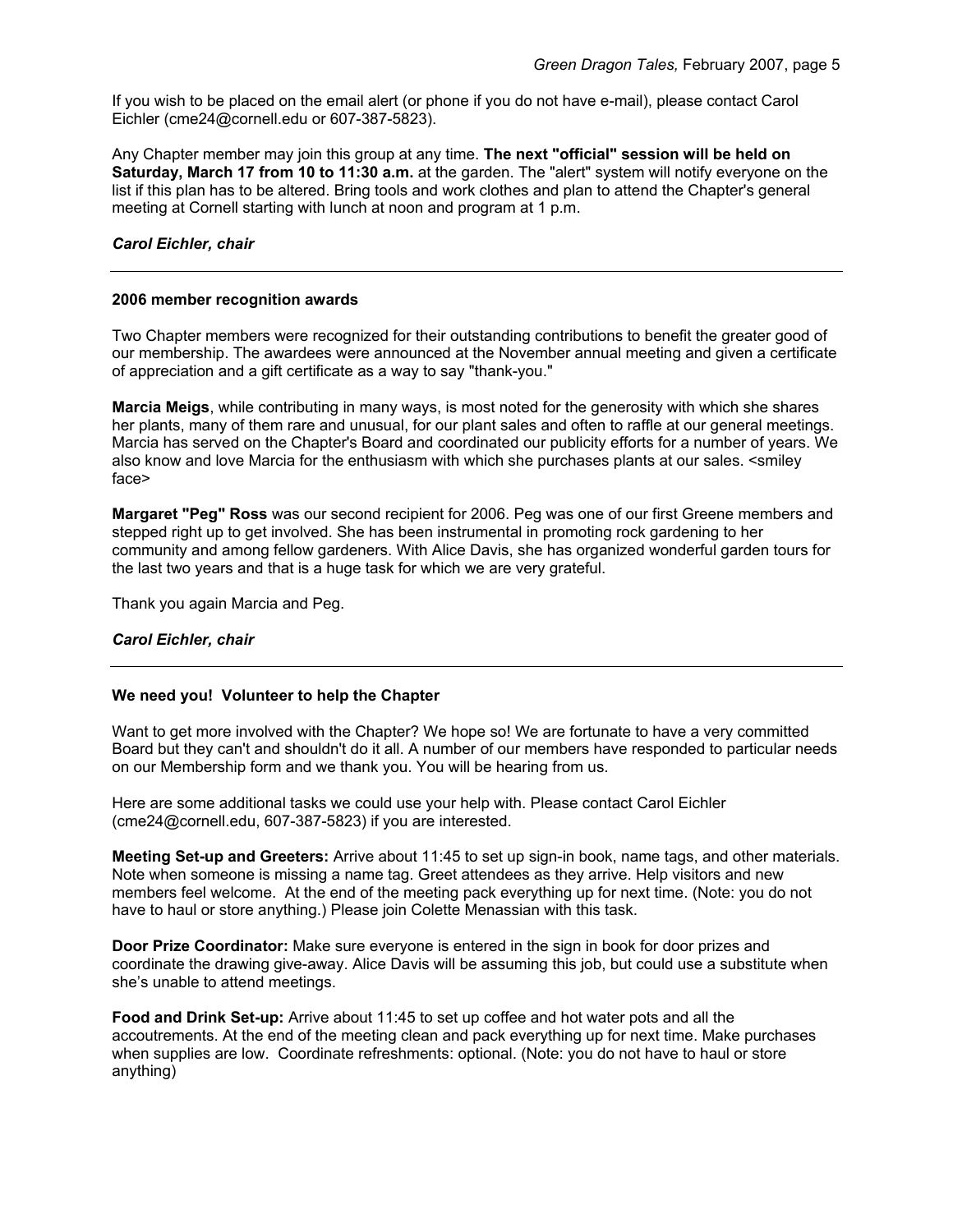If you wish to be placed on the email alert (or phone if you do not have e-mail), please contact Carol Eichler (cme24@cornell.edu or 607-387-5823).

Any Chapter member may join this group at any time. **The next "official" session will be held on Saturday, March 17 from 10 to 11:30 a.m.** at the garden. The "alert" system will notify everyone on the list if this plan has to be altered. Bring tools and work clothes and plan to attend the Chapter's general meeting at Cornell starting with lunch at noon and program at 1 p.m.

#### *Carol Eichler, chair*

#### **2006 member recognition awards**

Two Chapter members were recognized for their outstanding contributions to benefit the greater good of our membership. The awardees were announced at the November annual meeting and given a certificate of appreciation and a gift certificate as a way to say "thank-you."

**Marcia Meigs**, while contributing in many ways, is most noted for the generosity with which she shares her plants, many of them rare and unusual, for our plant sales and often to raffle at our general meetings. Marcia has served on the Chapter's Board and coordinated our publicity efforts for a number of years. We also know and love Marcia for the enthusiasm with which she purchases plants at our sales. <smiley face>

**Margaret "Peg" Ross** was our second recipient for 2006. Peg was one of our first Greene members and stepped right up to get involved. She has been instrumental in promoting rock gardening to her community and among fellow gardeners. With Alice Davis, she has organized wonderful garden tours for the last two years and that is a huge task for which we are very grateful.

Thank you again Marcia and Peg.

#### *Carol Eichler, chair*

#### **We need you! Volunteer to help the Chapter**

Want to get more involved with the Chapter? We hope so! We are fortunate to have a very committed Board but they can't and shouldn't do it all. A number of our members have responded to particular needs on our Membership form and we thank you. You will be hearing from us.

Here are some additional tasks we could use your help with. Please contact Carol Eichler (cme24@cornell.edu, 607-387-5823) if you are interested.

**Meeting Set-up and Greeters:** Arrive about 11:45 to set up sign-in book, name tags, and other materials. Note when someone is missing a name tag. Greet attendees as they arrive. Help visitors and new members feel welcome. At the end of the meeting pack everything up for next time. (Note: you do not have to haul or store anything.) Please join Colette Menassian with this task.

**Door Prize Coordinator:** Make sure everyone is entered in the sign in book for door prizes and coordinate the drawing give-away. Alice Davis will be assuming this job, but could use a substitute when she's unable to attend meetings.

**Food and Drink Set-up:** Arrive about 11:45 to set up coffee and hot water pots and all the accoutrements. At the end of the meeting clean and pack everything up for next time. Make purchases when supplies are low. Coordinate refreshments: optional. (Note: you do not have to haul or store anything)